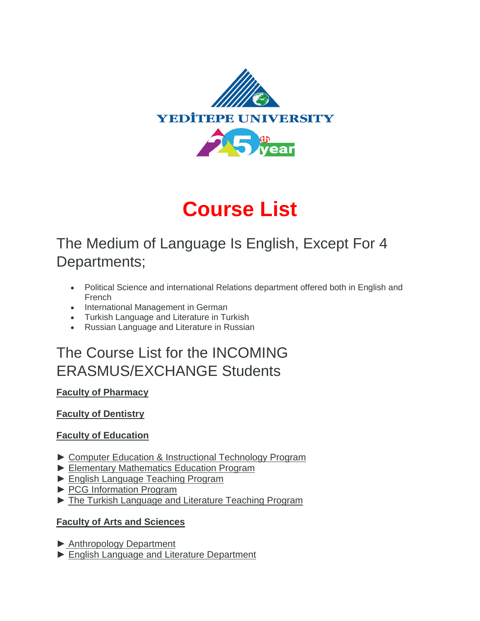

# **Course List**

# The Medium of Language Is English, Except For 4 Departments;

- Political Science and international Relations department offered both in English and French
- International Management in German
- Turkish Language and Literature in Turkish
- Russian Language and Literature in Russian

# The Course List for the INCOMING ERASMUS/EXCHANGE Students

# **[Faculty of Pharmacy](https://eczacilik.yeditepe.edu.tr/en/dersler)**

# **[Faculty of Dentistry](https://dishekimligi.yeditepe.edu.tr/en/departments)**

# **[Faculty of Education](https://egitim.yeditepe.edu.tr/en)**

- ► [Computer Education & Instructional Technology Program](https://egitim.yeditepe.edu.tr/en/computer-education-instructional-technology-program/dersler)
- ► [Elementary Mathematics Education Program](https://egitim.yeditepe.edu.tr/en/elementary-mathematics-education-program/program-information-package)
- ► [English Language Teaching Program](https://egitim.yeditepe.edu.tr/en/english-language-teaching-program/program-information-package)
- ► [PCG Information Program](https://egitim.yeditepe.edu.tr/en/bachelors-program-guidance-and-psychological-counseling/program-information-package)
- ► The [Turkish Language and Literature Teaching Program](https://egitim.yeditepe.edu.tr/en/turkish-language-and-literature-teaching-program/program-information-package)

# **[Faculty of Arts and Sciences](http://fenedebiyat.yeditepe.edu.tr/en)**

- ► [Anthropology Department](http://fenedebiyat.yeditepe.edu.tr/en/anthropology-department/dersler)
- ► [English Language and](http://fenedebiyat.yeditepe.edu.tr/en/english-language-and-literature-department/dersler) Literature Department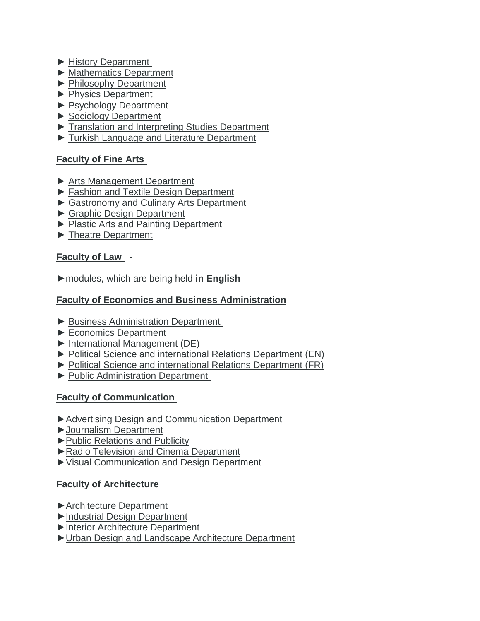- ► [History Department](http://fenedebiyat.yeditepe.edu.tr/en/history-department/dersler)
- ► [Mathematics Department](http://fenedebiyat.yeditepe.edu.tr/en/mathematics-department/dersler)
- ► [Philosophy Department](http://fenedebiyat.yeditepe.edu.tr/en/philosophy-department/dersler)
- ► [Physics Department](http://fenedebiyat.yeditepe.edu.tr/en/physics-department/dersler)
- ► [Psychology Department](http://fenedebiyat.yeditepe.edu.tr/en/psychology-department/dersler)
- ► [Sociology Department](http://fenedebiyat.yeditepe.edu.tr/en/sociology-department/dersler)
- ► [Translation and Interpreting Studies Department](http://fenedebiyat.yeditepe.edu.tr/en/translation-and-interpreting-studies-department/dersler)
- ► [Turkish Language and Literature Department](https://fenedebiyat.yeditepe.edu.tr/en/turkish-language-and-literature-department/dersler)

#### **[Faculty of Fine Arts](http://gsf.yeditepe.edu.tr/en)**

- ► [Arts Management Department](https://gsf.yeditepe.edu.tr/en/arts-and-culture-management-department/dersler)
- ► [Fashion and Textile Design Department](http://gsf.yeditepe.edu.tr/en/fashion-and-textile-design-department/dersler)
- ► [Gastronomy and Culinary Arts Department](http://gsf.yeditepe.edu.tr/en/gastronomy-and-culinary-arts-department/dersler)
- ► [Graphic Design Department](http://gsf.yeditepe.edu.tr/en/graphic-design-department/dersler)
- ► [Plastic Arts and Painting Department](http://gsf.yeditepe.edu.tr/en/plastic-arts-and-painting-department/dersler)
- ► [Theatre Department](http://gsf.yeditepe.edu.tr/en/theatre-department/dersler)

#### **[Faculty of Law](http://law.yeditepe.edu.tr/en/dersler/) -**

#### [►modules, which](https://international.yeditepe.edu.tr/sites/default/files/yeditepe_university_law_faculty_modules_which_are_being_held_in_english.docx.pdf) are being held **in English**

#### **[Faculty of Economics and Business Administration](http://iibf.yeditepe.edu.tr/en)**

- ► [Business Administration Department](http://iibf.yeditepe.edu.tr/en/business-administration-department/dersler)
- ► [Economics Department](http://iibf.yeditepe.edu.tr/en/economics-department/dersler)
- ► International [Management \(DE\)](http://iibf.yeditepe.edu.tr/en/internationales-management-de/dersler)
- ► [Political Science and international Relations Department \(EN\)](http://iibf.yeditepe.edu.tr/en/political-science-and-international-relations-department-en/dersler)
- ► [Political Science and international Relations Department \(FR\)](http://iibf.yeditepe.edu.tr/en/political-science-and-international-relations-department-fr/dersler)
- ► [Public Administration Department](http://iibf.yeditepe.edu.tr/en/public-administration-department/dersler)

# **Faculty of [Communication](https://iletisimfakultesi.yeditepe.edu.tr/en)**

- ►Advertising Design and [Communication Department](https://iletisimfakultesi.yeditepe.edu.tr/en/advertising-design-and-communication-department/dersler)
- [►Journalism Department](https://iletisimfakultesi.yeditepe.edu.tr/en/journalism-department/dersler)
- [►Public Relations and](https://iletisimfakultesi.yeditepe.edu.tr/en/public-relations-and-publicity/dersler) Publicity
- [►Radio Television and](https://iletisimfakultesi.yeditepe.edu.tr/en/radio-television-and-cinema-department/dersler) Cinema Department
- [►Visual Communication and](https://iletisimfakultesi.yeditepe.edu.tr/en/visual-communication-and-design-department/dersler) Design Department

# **Faculty of [Architecture](https://mimarlik.yeditepe.edu.tr/en)**

- [►Architecture Department](https://mimarlik.yeditepe.edu.tr/en/architecture-department/course-description)
- [►Industrial Design Department](https://mimarlik.yeditepe.edu.tr/en/industrial-design-department/course-description)
- [►Interior Architecture Department](https://mimarlik.yeditepe.edu.tr/en/interior-architecture-department/course-description)
- [►Urban Design and Landscape Architecture Department](https://mimarlik.yeditepe.edu.tr/en/urban-design-and-landscape-architecture-department/course-description)